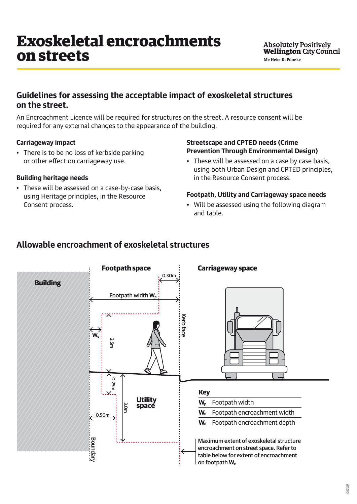# **Guidelines for assessing the acceptable impact of exoskeletal structures on the street.**

An Encroachment Licence will be required for structures on the street. A resource consent will be required for any external changes to the appearance of the building.

## **Carriageway impact**

• There is to be no loss of kerbside parking or other effect on carriageway use.

#### **Building heritage needs**

• These will be assessed on a case-by-case basis, using Heritage principles, in the Resource Consent process.

### **Streetscape and CPTED needs (Crime Prevention Through Environmental Design)**

• These will be assessed on a case by case basis, using both Urban Design and CPTED principles, in the Resource Consent process.

#### **Footpath, Utility and Carriageway space needs**

• Will be assessed using the following diagram and table.

# **Allowable encroachment of exoskeletal structures**